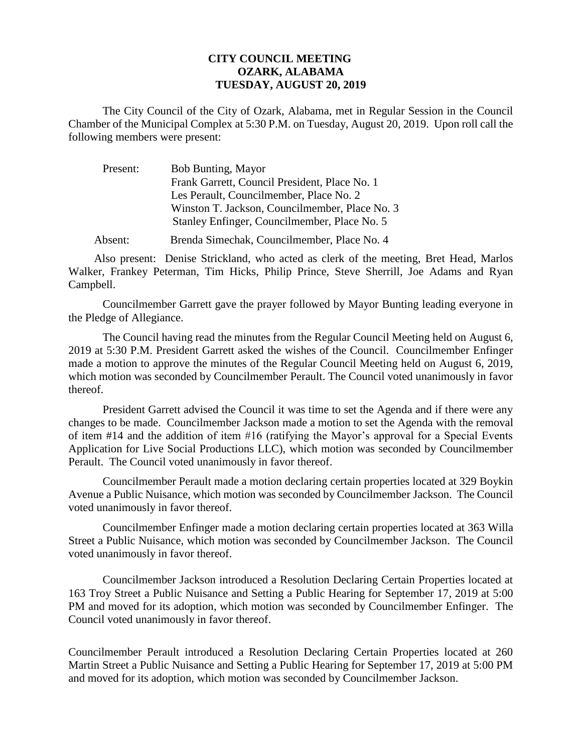## **CITY COUNCIL MEETING OZARK, ALABAMA TUESDAY, AUGUST 20, 2019**

The City Council of the City of Ozark, Alabama, met in Regular Session in the Council Chamber of the Municipal Complex at 5:30 P.M. on Tuesday, August 20, 2019. Upon roll call the following members were present:

| Present: | Bob Bunting, Mayor                             |
|----------|------------------------------------------------|
|          | Frank Garrett, Council President, Place No. 1  |
|          | Les Perault, Councilmember, Place No. 2        |
|          | Winston T. Jackson, Councilmember, Place No. 3 |
|          | Stanley Enfinger, Councilmember, Place No. 5   |
| Absent:  | Brenda Simechak, Councilmember, Place No. 4    |

Also present: Denise Strickland, who acted as clerk of the meeting, Bret Head, Marlos Walker, Frankey Peterman, Tim Hicks, Philip Prince, Steve Sherrill, Joe Adams and Ryan Campbell.

Councilmember Garrett gave the prayer followed by Mayor Bunting leading everyone in the Pledge of Allegiance.

The Council having read the minutes from the Regular Council Meeting held on August 6, 2019 at 5:30 P.M. President Garrett asked the wishes of the Council. Councilmember Enfinger made a motion to approve the minutes of the Regular Council Meeting held on August 6, 2019, which motion was seconded by Councilmember Perault. The Council voted unanimously in favor thereof.

President Garrett advised the Council it was time to set the Agenda and if there were any changes to be made. Councilmember Jackson made a motion to set the Agenda with the removal of item #14 and the addition of item #16 (ratifying the Mayor's approval for a Special Events Application for Live Social Productions LLC), which motion was seconded by Councilmember Perault. The Council voted unanimously in favor thereof.

Councilmember Perault made a motion declaring certain properties located at 329 Boykin Avenue a Public Nuisance, which motion was seconded by Councilmember Jackson. The Council voted unanimously in favor thereof.

Councilmember Enfinger made a motion declaring certain properties located at 363 Willa Street a Public Nuisance, which motion was seconded by Councilmember Jackson. The Council voted unanimously in favor thereof.

Councilmember Jackson introduced a Resolution Declaring Certain Properties located at 163 Troy Street a Public Nuisance and Setting a Public Hearing for September 17, 2019 at 5:00 PM and moved for its adoption, which motion was seconded by Councilmember Enfinger. The Council voted unanimously in favor thereof.

Councilmember Perault introduced a Resolution Declaring Certain Properties located at 260 Martin Street a Public Nuisance and Setting a Public Hearing for September 17, 2019 at 5:00 PM and moved for its adoption, which motion was seconded by Councilmember Jackson.